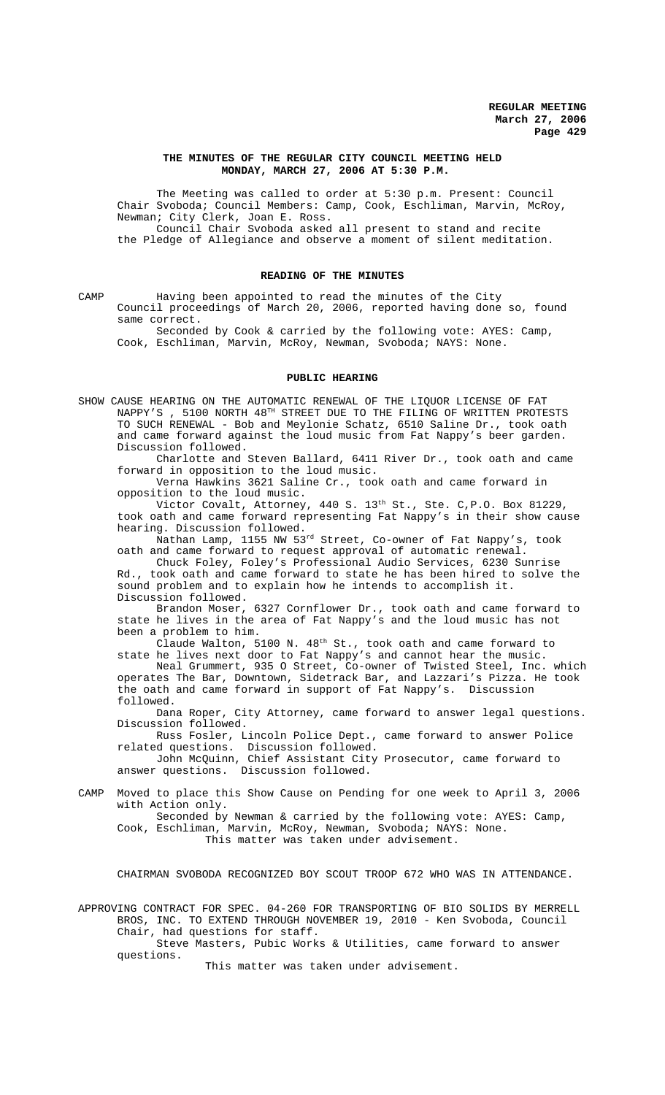### **THE MINUTES OF THE REGULAR CITY COUNCIL MEETING HELD MONDAY, MARCH 27, 2006 AT 5:30 P.M.**

The Meeting was called to order at 5:30 p.m. Present: Council Chair Svoboda; Council Members: Camp, Cook, Eschliman, Marvin, McRoy, Newman; City Clerk, Joan E. Ross.

Council Chair Svoboda asked all present to stand and recite the Pledge of Allegiance and observe a moment of silent meditation.

## **READING OF THE MINUTES**

CAMP Having been appointed to read the minutes of the City Council proceedings of March 20, 2006, reported having done so, found same correct.

Seconded by Cook & carried by the following vote: AYES: Camp, Cook, Eschliman, Marvin, McRoy, Newman, Svoboda; NAYS: None.

#### **PUBLIC HEARING**

SHOW CAUSE HEARING ON THE AUTOMATIC RENEWAL OF THE LIQUOR LICENSE OF FAT NAPPY'S , 5100 NORTH 48TH STREET DUE TO THE FILING OF WRITTEN PROTESTS TO SUCH RENEWAL - Bob and Meylonie Schatz, 6510 Saline Dr., took oath and came forward against the loud music from Fat Nappy's beer garden. Discussion followed.

Charlotte and Steven Ballard, 6411 River Dr., took oath and came forward in opposition to the loud music.

Verna Hawkins 3621 Saline Cr., took oath and came forward in opposition to the loud music.

Victor Covalt, Attorney, 440 S. 13<sup>th</sup> St., Ste. C, P.O. Box 81229, took oath and came forward representing Fat Nappy's in their show cause hearing. Discussion followed.

Nathan Lamp, 1155 NW 53rd Street, Co-owner of Fat Nappy's, took oath and came forward to request approval of automatic renewal.

Chuck Foley, Foley's Professional Audio Services, 6230 Sunrise Rd., took oath and came forward to state he has been hired to solve the sound problem and to explain how he intends to accomplish it. Discussion followed.

Brandon Moser, 6327 Cornflower Dr., took oath and came forward to state he lives in the area of Fat Nappy's and the loud music has not been a problem to him.

Claude Walton,  $5100$  N.  $48^{\text{th}}$  St., took oath and came forward to state he lives next door to Fat Nappy's and cannot hear the music.

Neal Grummert, 935 O Street, Co-owner of Twisted Steel, Inc. which operates The Bar, Downtown, Sidetrack Bar, and Lazzari's Pizza. He took the oath and came forward in support of Fat Nappy's. Discussion followed.

Dana Roper, City Attorney, came forward to answer legal questions. Discussion followed.

Russ Fosler, Lincoln Police Dept., came forward to answer Police related questions. Discussion followed.

John McQuinn, Chief Assistant City Prosecutor, came forward to answer questions. Discussion followed.

CAMP Moved to place this Show Cause on Pending for one week to April 3, 2006 with Action only.

Seconded by Newman & carried by the following vote: AYES: Camp, Cook, Eschliman, Marvin, McRoy, Newman, Svoboda; NAYS: None. This matter was taken under advisement.

CHAIRMAN SVOBODA RECOGNIZED BOY SCOUT TROOP 672 WHO WAS IN ATTENDANCE.

APPROVING CONTRACT FOR SPEC. 04-260 FOR TRANSPORTING OF BIO SOLIDS BY MERRELL BROS, INC. TO EXTEND THROUGH NOVEMBER 19, 2010 - Ken Svoboda, Council Chair, had questions for staff.

Steve Masters, Pubic Works & Utilities, came forward to answer questions.

This matter was taken under advisement.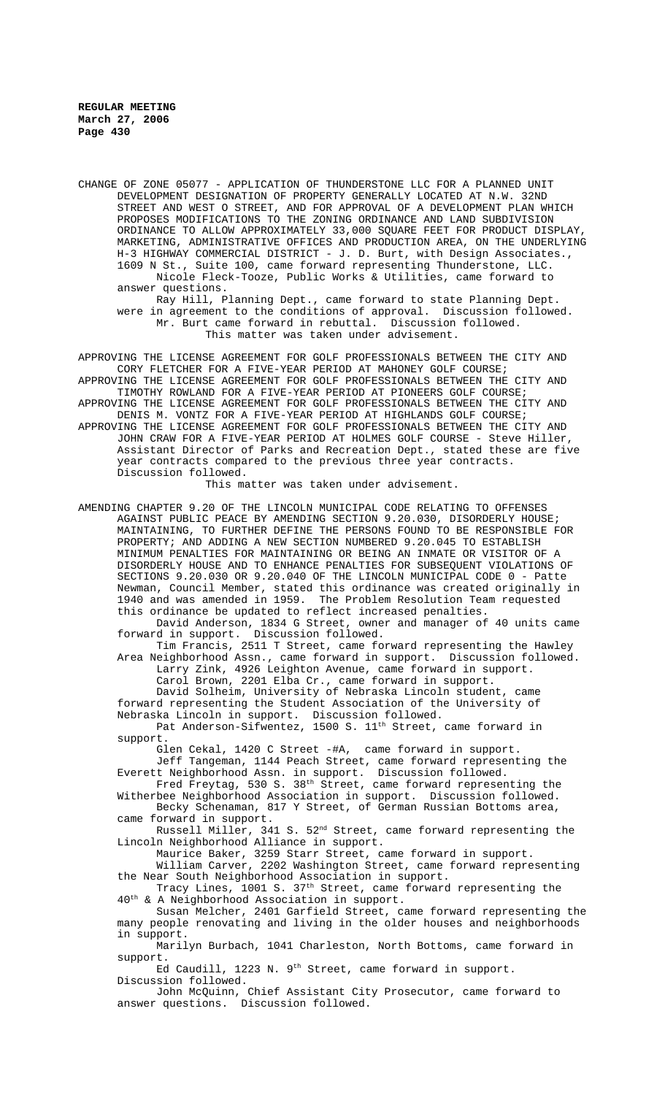CHANGE OF ZONE 05077 - APPLICATION OF THUNDERSTONE LLC FOR A PLANNED UNIT DEVELOPMENT DESIGNATION OF PROPERTY GENERALLY LOCATED AT N.W. 32ND STREET AND WEST O STREET, AND FOR APPROVAL OF A DEVELOPMENT PLAN WHICH PROPOSES MODIFICATIONS TO THE ZONING ORDINANCE AND LAND SUBDIVISION ORDINANCE TO ALLOW APPROXIMATELY 33,000 SQUARE FEET FOR PRODUCT DISPLAY, MARKETING, ADMINISTRATIVE OFFICES AND PRODUCTION AREA, ON THE UNDERLYING H-3 HIGHWAY COMMERCIAL DISTRICT - J. D. Burt, with Design Associates., 1609 N St., Suite 100, came forward representing Thunderstone, LLC. Nicole Fleck-Tooze, Public Works & Utilities, came forward to answer questions.

Ray Hill, Planning Dept., came forward to state Planning Dept. were in agreement to the conditions of approval. Discussion followed. Mr. Burt came forward in rebuttal. Discussion followed. This matter was taken under advisement.

APPROVING THE LICENSE AGREEMENT FOR GOLF PROFESSIONALS BETWEEN THE CITY AND CORY FLETCHER FOR A FIVE-YEAR PERIOD AT MAHONEY GOLF COURSE; APPROVING THE LICENSE AGREEMENT FOR GOLF PROFESSIONALS BETWEEN THE CITY AND TIMOTHY ROWLAND FOR A FIVE-YEAR PERIOD AT PIONEERS GOLF COURSE; APPROVING THE LICENSE AGREEMENT FOR GOLF PROFESSIONALS BETWEEN THE CITY AND DENIS M. VONTZ FOR A FIVE-YEAR PERIOD AT HIGHLANDS GOLF COURSE; APPROVING THE LICENSE AGREEMENT FOR GOLF PROFESSIONALS BETWEEN THE CITY AND JOHN CRAW FOR A FIVE-YEAR PERIOD AT HOLMES GOLF COURSE - Steve Hiller, Assistant Director of Parks and Recreation Dept., stated these are five year contracts compared to the previous three year contracts. Discussion followed.

This matter was taken under advisement.

AMENDING CHAPTER 9.20 OF THE LINCOLN MUNICIPAL CODE RELATING TO OFFENSES AGAINST PUBLIC PEACE BY AMENDING SECTION 9.20.030, DISORDERLY HOUSE; MAINTAINING, TO FURTHER DEFINE THE PERSONS FOUND TO BE RESPONSIBLE FOR PROPERTY; AND ADDING A NEW SECTION NUMBERED 9.20.045 TO ESTABLISH MINIMUM PENALTIES FOR MAINTAINING OR BEING AN INMATE OR VISITOR OF A DISORDERLY HOUSE AND TO ENHANCE PENALTIES FOR SUBSEQUENT VIOLATIONS OF SECTIONS 9.20.030 OR 9.20.040 OF THE LINCOLN MUNICIPAL CODE 0 - Patte Newman, Council Member, stated this ordinance was created originally in 1940 and was amended in 1959. The Problem Resolution Team requested this ordinance be updated to reflect increased penalties.

David Anderson, 1834 G Street, owner and manager of 40 units came forward in support. Discussion followed.

Tim Francis, 2511 T Street, came forward representing the Hawley Area Neighborhood Assn., came forward in support. Discussion followed. Larry Zink, 4926 Leighton Avenue, came forward in support.

Carol Brown, 2201 Elba Cr., came forward in support.

David Solheim, University of Nebraska Lincoln student, came forward representing the Student Association of the University of Nebraska Lincoln in support. Discussion followed.

Pat Anderson-Sifwentez, 1500 S.  $11^{\text{th}}$  Street, came forward in support.

Glen Cekal, 1420 C Street -#A, came forward in support.

Jeff Tangeman, 1144 Peach Street, came forward representing the Everett Neighborhood Assn. in support. Discussion followed.

Fred Freytag, 530 S. 38<sup>th</sup> Street, came forward representing the Witherbee Neighborhood Association in support. Discussion followed. Becky Schenaman, 817 Y Street, of German Russian Bottoms area,

came forward in support. Russell Miller, 341 S. 52nd Street, came forward representing the

Lincoln Neighborhood Alliance in support. Maurice Baker, 3259 Starr Street, came forward in support.

William Carver, 2202 Washington Street, came forward representing the Near South Neighborhood Association in support.

Tracy Lines, 1001 S. 37th Street, came forward representing the 40th & A Neighborhood Association in support.

Susan Melcher, 2401 Garfield Street, came forward representing the many people renovating and living in the older houses and neighborhoods in support.

Marilyn Burbach, 1041 Charleston, North Bottoms, came forward in support.

Ed Caudill, 1223 N. 9<sup>th</sup> Street, came forward in support. Discussion followed.

John McQuinn, Chief Assistant City Prosecutor, came forward to answer questions. Discussion followed.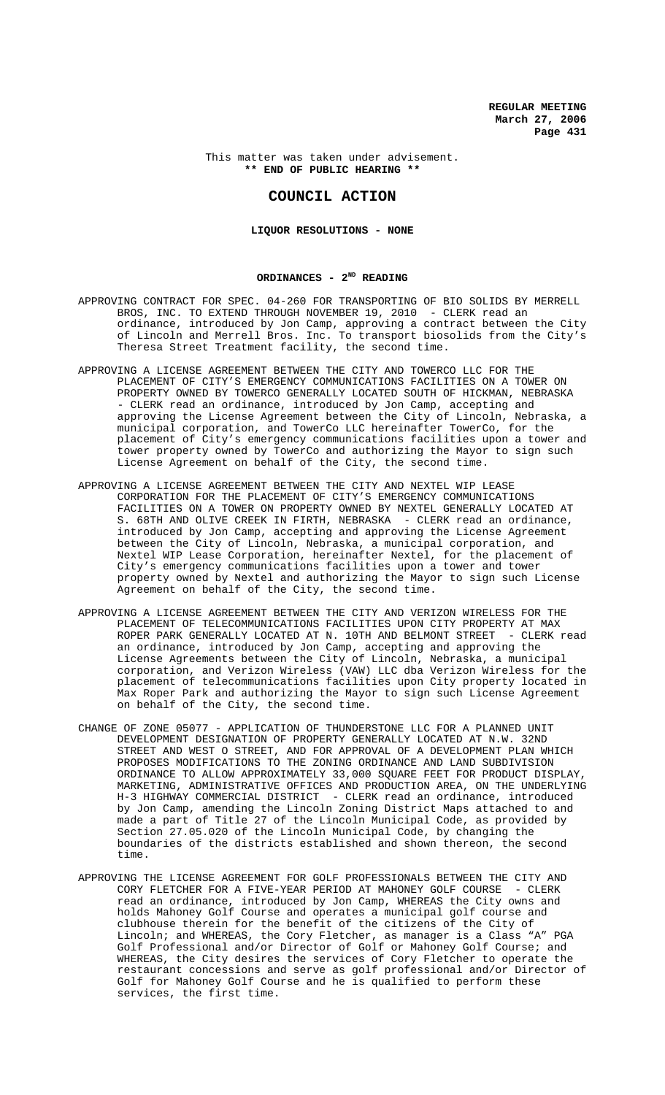### This matter was taken under advisement. **\*\* END OF PUBLIC HEARING \*\***

## **COUNCIL ACTION**

## **LIQUOR RESOLUTIONS - NONE**

### ORDINANCES - 2<sup>ND</sup> READING

- APPROVING CONTRACT FOR SPEC. 04-260 FOR TRANSPORTING OF BIO SOLIDS BY MERRELL BROS, INC. TO EXTEND THROUGH NOVEMBER 19, 2010 - CLERK read an ordinance, introduced by Jon Camp, approving a contract between the City of Lincoln and Merrell Bros. Inc. To transport biosolids from the City's Theresa Street Treatment facility, the second time.
- APPROVING A LICENSE AGREEMENT BETWEEN THE CITY AND TOWERCO LLC FOR THE PLACEMENT OF CITY'S EMERGENCY COMMUNICATIONS FACILITIES ON A TOWER ON PROPERTY OWNED BY TOWERCO GENERALLY LOCATED SOUTH OF HICKMAN, NEBRASKA - CLERK read an ordinance, introduced by Jon Camp, accepting and approving the License Agreement between the City of Lincoln, Nebraska, a municipal corporation, and TowerCo LLC hereinafter TowerCo, for the placement of City's emergency communications facilities upon a tower and tower property owned by TowerCo and authorizing the Mayor to sign such License Agreement on behalf of the City, the second time.
- APPROVING A LICENSE AGREEMENT BETWEEN THE CITY AND NEXTEL WIP LEASE CORPORATION FOR THE PLACEMENT OF CITY'S EMERGENCY COMMUNICATIONS FACILITIES ON A TOWER ON PROPERTY OWNED BY NEXTEL GENERALLY LOCATED AT S. 68TH AND OLIVE CREEK IN FIRTH, NEBRASKA - CLERK read an ordinance, introduced by Jon Camp, accepting and approving the License Agreement between the City of Lincoln, Nebraska, a municipal corporation, and Nextel WIP Lease Corporation, hereinafter Nextel, for the placement of City's emergency communications facilities upon a tower and tower property owned by Nextel and authorizing the Mayor to sign such License Agreement on behalf of the City, the second time.
- APPROVING A LICENSE AGREEMENT BETWEEN THE CITY AND VERIZON WIRELESS FOR THE PLACEMENT OF TELECOMMUNICATIONS FACILITIES UPON CITY PROPERTY AT MAX ROPER PARK GENERALLY LOCATED AT N. 10TH AND BELMONT STREET - CLERK read an ordinance, introduced by Jon Camp, accepting and approving the License Agreements between the City of Lincoln, Nebraska, a municipal corporation, and Verizon Wireless (VAW) LLC dba Verizon Wireless for the placement of telecommunications facilities upon City property located in Max Roper Park and authorizing the Mayor to sign such License Agreement on behalf of the City, the second time.
- CHANGE OF ZONE 05077 APPLICATION OF THUNDERSTONE LLC FOR A PLANNED UNIT DEVELOPMENT DESIGNATION OF PROPERTY GENERALLY LOCATED AT N.W. 32ND STREET AND WEST O STREET, AND FOR APPROVAL OF A DEVELOPMENT PLAN WHICH PROPOSES MODIFICATIONS TO THE ZONING ORDINANCE AND LAND SUBDIVISION ORDINANCE TO ALLOW APPROXIMATELY 33,000 SQUARE FEET FOR PRODUCT DISPLAY, MARKETING, ADMINISTRATIVE OFFICES AND PRODUCTION AREA, ON THE UNDERLYING H-3 HIGHWAY COMMERCIAL DISTRICT - CLERK read an ordinance, introduced by Jon Camp, amending the Lincoln Zoning District Maps attached to and made a part of Title 27 of the Lincoln Municipal Code, as provided by Section 27.05.020 of the Lincoln Municipal Code, by changing the boundaries of the districts established and shown thereon, the second time.
- APPROVING THE LICENSE AGREEMENT FOR GOLF PROFESSIONALS BETWEEN THE CITY AND CORY FLETCHER FOR A FIVE-YEAR PERIOD AT MAHONEY GOLF COURSE - CLERK read an ordinance, introduced by Jon Camp, WHEREAS the City owns and holds Mahoney Golf Course and operates a municipal golf course and clubhouse therein for the benefit of the citizens of the City of Lincoln; and WHEREAS, the Cory Fletcher, as manager is a Class "A" PGA Golf Professional and/or Director of Golf or Mahoney Golf Course; and WHEREAS, the City desires the services of Cory Fletcher to operate the restaurant concessions and serve as golf professional and/or Director of Golf for Mahoney Golf Course and he is qualified to perform these services, the first time.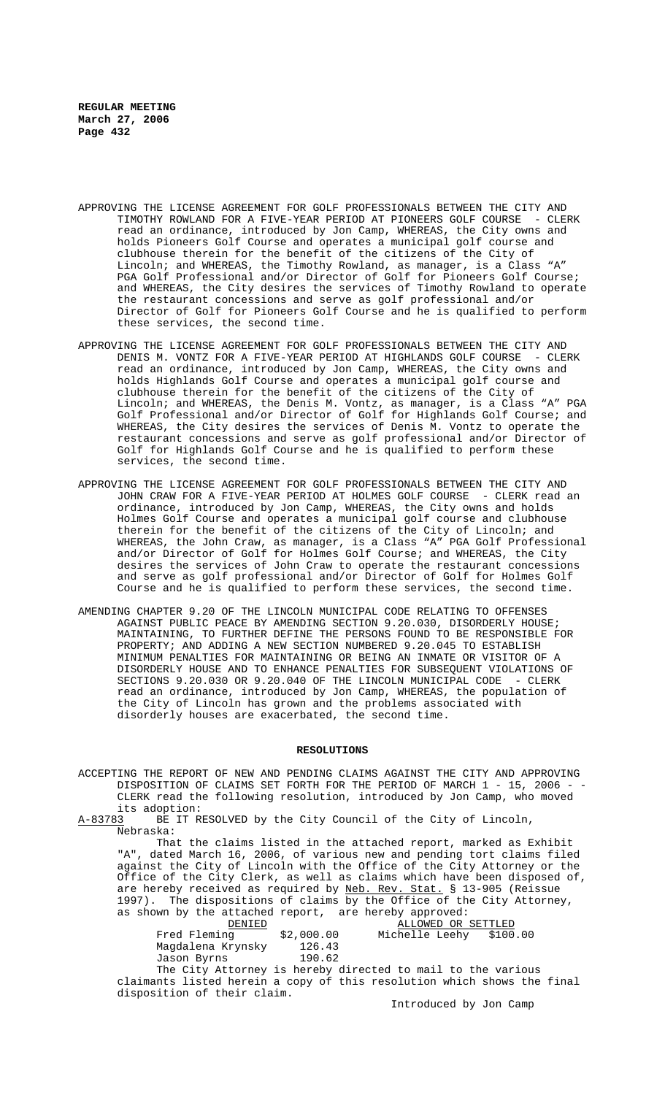- APPROVING THE LICENSE AGREEMENT FOR GOLF PROFESSIONALS BETWEEN THE CITY AND TIMOTHY ROWLAND FOR A FIVE-YEAR PERIOD AT PIONEERS GOLF COURSE - CLERK read an ordinance, introduced by Jon Camp, WHEREAS, the City owns and holds Pioneers Golf Course and operates a municipal golf course and clubhouse therein for the benefit of the citizens of the City of Lincoln; and WHEREAS, the Timothy Rowland, as manager, is a Class "A" PGA Golf Professional and/or Director of Golf for Pioneers Golf Course; and WHEREAS, the City desires the services of Timothy Rowland to operate the restaurant concessions and serve as golf professional and/or Director of Golf for Pioneers Golf Course and he is qualified to perform these services, the second time.
- APPROVING THE LICENSE AGREEMENT FOR GOLF PROFESSIONALS BETWEEN THE CITY AND DENIS M. VONTZ FOR A FIVE-YEAR PERIOD AT HIGHLANDS GOLF COURSE - CLERK read an ordinance, introduced by Jon Camp, WHEREAS, the City owns and holds Highlands Golf Course and operates a municipal golf course and clubhouse therein for the benefit of the citizens of the City of Lincoln; and WHEREAS, the Denis M. Vontz, as manager, is a Class "A" PGA Golf Professional and/or Director of Golf for Highlands Golf Course; and WHEREAS, the City desires the services of Denis M. Vontz to operate the restaurant concessions and serve as golf professional and/or Director of Golf for Highlands Golf Course and he is qualified to perform these services, the second time.
- APPROVING THE LICENSE AGREEMENT FOR GOLF PROFESSIONALS BETWEEN THE CITY AND JOHN CRAW FOR A FIVE-YEAR PERIOD AT HOLMES GOLF COURSE - CLERK read an ordinance, introduced by Jon Camp, WHEREAS, the City owns and holds Holmes Golf Course and operates a municipal golf course and clubhouse therein for the benefit of the citizens of the City of Lincoln; and WHEREAS, the John Craw, as manager, is a Class "A" PGA Golf Professional and/or Director of Golf for Holmes Golf Course; and WHEREAS, the City desires the services of John Craw to operate the restaurant concessions and serve as golf professional and/or Director of Golf for Holmes Golf Course and he is qualified to perform these services, the second time.
- AMENDING CHAPTER 9.20 OF THE LINCOLN MUNICIPAL CODE RELATING TO OFFENSES AGAINST PUBLIC PEACE BY AMENDING SECTION 9.20.030, DISORDERLY HOUSE; MAINTAINING, TO FURTHER DEFINE THE PERSONS FOUND TO BE RESPONSIBLE FOR PROPERTY; AND ADDING A NEW SECTION NUMBERED 9.20.045 TO ESTABLISH MINIMUM PENALTIES FOR MAINTAINING OR BEING AN INMATE OR VISITOR OF A DISORDERLY HOUSE AND TO ENHANCE PENALTIES FOR SUBSEQUENT VIOLATIONS OF SECTIONS 9.20.030 OR 9.20.040 OF THE LINCOLN MUNICIPAL CODE - CLERK SECTIONS 9.20.030 OR 9.20.040 OF THE LINCOLN MUNICIPAL CODE read an ordinance, introduced by Jon Camp, WHEREAS, the population of the City of Lincoln has grown and the problems associated with disorderly houses are exacerbated, the second time.

#### **RESOLUTIONS**

ACCEPTING THE REPORT OF NEW AND PENDING CLAIMS AGAINST THE CITY AND APPROVING DISPOSITION OF CLAIMS SET FORTH FOR THE PERIOD OF MARCH 1 - 15, 2006 - - CLERK read the following resolution, introduced by Jon Camp, who moved its adoption:<br><u>A-83783</u> BE IT RI BE IT RESOLVED by the City Council of the City of Lincoln,

Nebraska:

That the claims listed in the attached report, marked as Exhibit "A", dated March 16, 2006, of various new and pending tort claims filed against the City of Lincoln with the Office of the City Attorney or the Office of the City Clerk, as well as claims which have been disposed of, are hereby received as required by Neb. Rev. Stat. § 13-905 (Reissue 1997). The dispositions of claims by the Office of the City Attorney, as shown by the attached report, are hereby approved:

| DENTED.           |            | ALLOWED OR SETTLED                                          |
|-------------------|------------|-------------------------------------------------------------|
| Fred Fleming      | \$2,000.00 | Michelle Leehy \$100.00                                     |
| Magdalena Krynsky | 126.43     |                                                             |
| Jason Byrns       | 190.62     |                                                             |
|                   |            | The City Attorney is hereby directed to mail to the various |

claimants listed herein a copy of this resolution which shows the final disposition of their claim.

Introduced by Jon Camp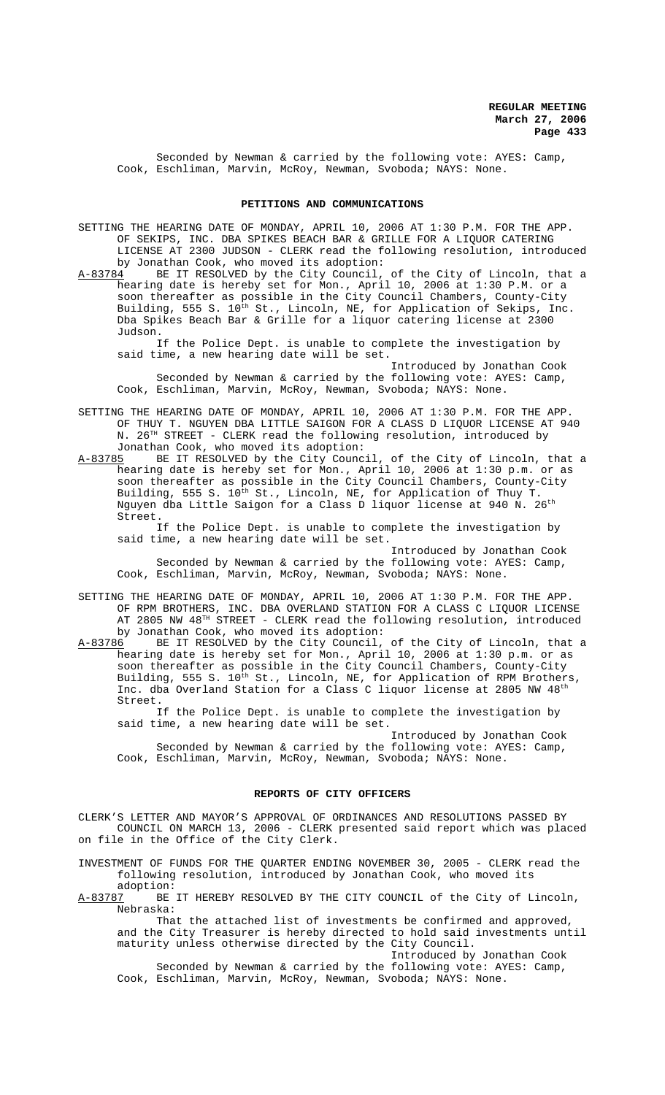Seconded by Newman & carried by the following vote: AYES: Camp, Cook, Eschliman, Marvin, McRoy, Newman, Svoboda; NAYS: None.

### **PETITIONS AND COMMUNICATIONS**

SETTING THE HEARING DATE OF MONDAY, APRIL 10, 2006 AT 1:30 P.M. FOR THE APP. OF SEKIPS, INC. DBA SPIKES BEACH BAR & GRILLE FOR A LIQUOR CATERING LICENSE AT 2300 JUDSON - CLERK read the following resolution, introduced

by Jonathan Cook, who moved its adoption:<br>A-83784 BE IT RESOLVED by the City Council, BE IT RESOLVED by the City Council, of the City of Lincoln, that a hearing date is hereby set for Mon., April 10, 2006 at 1:30 P.M. or a soon thereafter as possible in the City Council Chambers, County-City Building, 555 S. 10<sup>th</sup> St., Lincoln, NE, for Application of Sekips, Inc. Dba Spikes Beach Bar & Grille for a liquor catering license at 2300 Judson.

If the Police Dept. is unable to complete the investigation by said time, a new hearing date will be set.

Introduced by Jonathan Cook Seconded by Newman & carried by the following vote: AYES: Camp, Cook, Eschliman, Marvin, McRoy, Newman, Svoboda; NAYS: None.

SETTING THE HEARING DATE OF MONDAY, APRIL 10, 2006 AT 1:30 P.M. FOR THE APP. OF THUY T. NGUYEN DBA LITTLE SAIGON FOR A CLASS D LIQUOR LICENSE AT 940 N. 26TH STREET - CLERK read the following resolution, introduced by Jonathan Cook, who moved its adoption:

A-83785 BE IT RESOLVED by the City Council, of the City of Lincoln, that a hearing date is hereby set for Mon., April 10, 2006 at 1:30 p.m. or as soon thereafter as possible in the City Council Chambers, County-City Building, 555 S. 10<sup>th</sup> St., Lincoln, NE, for Application of Thuy T. Nguyen dba Little Saigon for a Class D liquor license at 940 N. 26 $^{\rm th}$ Street.

If the Police Dept. is unable to complete the investigation by said time, a new hearing date will be set.

Introduced by Jonathan Cook Seconded by Newman & carried by the following vote: AYES: Camp, Cook, Eschliman, Marvin, McRoy, Newman, Svoboda; NAYS: None.

SETTING THE HEARING DATE OF MONDAY, APRIL 10, 2006 AT 1:30 P.M. FOR THE APP. OF RPM BROTHERS, INC. DBA OVERLAND STATION FOR A CLASS C LIQUOR LICENSE AT 2805 NW 48<sup>TH</sup> STREET - CLERK read the following resolution, introduced by Jonathan Cook, who moved its adoption:<br>A-83786 BE IT RESOLVED by the City Council,

A-83786 BE IT RESOLVED by the City Council, of the City of Lincoln, that a hearing date is hereby set for Mon., April 10, 2006 at 1:30 p.m. or as soon thereafter as possible in the City Council Chambers, County-City Building, 555 S. 10<sup>th</sup> St., Lincoln, NE, for Application of RPM Brothers, Inc. dba Overland Station for a Class C liquor license at 2805 NW 48th Street.

If the Police Dept. is unable to complete the investigation by said time, a new hearing date will be set.

Introduced by Jonathan Cook Seconded by Newman & carried by the following vote: AYES: Camp, Cook, Eschliman, Marvin, McRoy, Newman, Svoboda; NAYS: None.

### **REPORTS OF CITY OFFICERS**

CLERK'S LETTER AND MAYOR'S APPROVAL OF ORDINANCES AND RESOLUTIONS PASSED BY COUNCIL ON MARCH 13, 2006 - CLERK presented said report which was placed on file in the Office of the City Clerk.

INVESTMENT OF FUNDS FOR THE QUARTER ENDING NOVEMBER 30, 2005 - CLERK read the following resolution, introduced by Jonathan Cook, who moved its

adoption:<br>A-83787 BE BE IT HEREBY RESOLVED BY THE CITY COUNCIL of the City of Lincoln, Nebraska:

That the attached list of investments be confirmed and approved, and the City Treasurer is hereby directed to hold said investments until maturity unless otherwise directed by the City Council. Introduced by Jonathan Cook

Seconded by Newman & carried by the following vote: AYES: Camp, Cook, Eschliman, Marvin, McRoy, Newman, Svoboda; NAYS: None.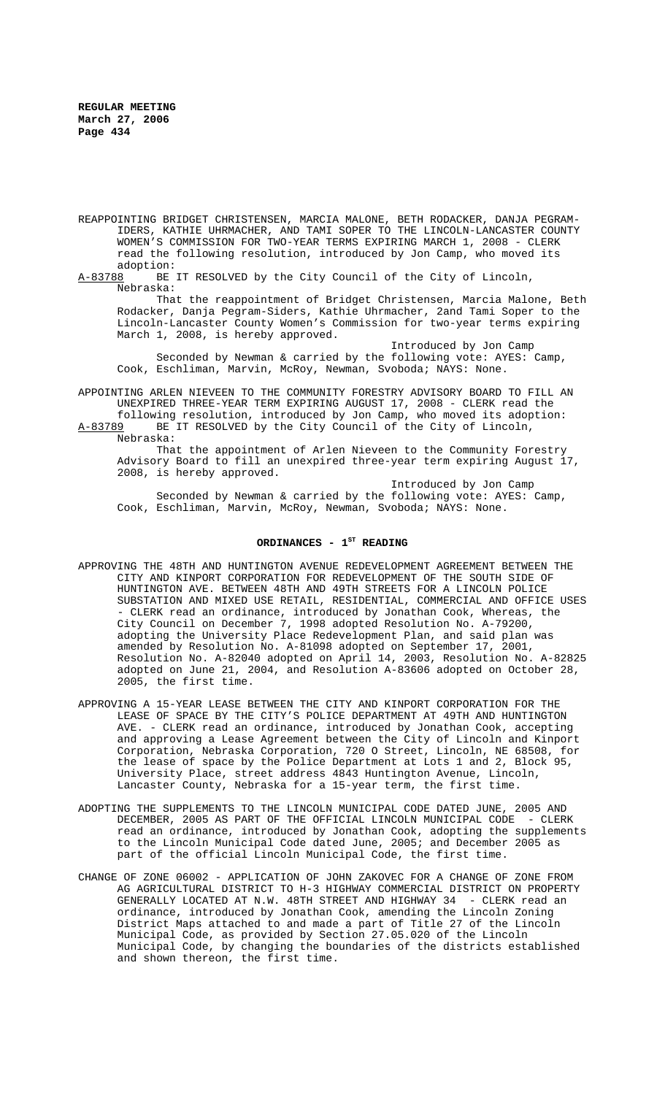- REAPPOINTING BRIDGET CHRISTENSEN, MARCIA MALONE, BETH RODACKER, DANJA PEGRAM-IDERS, KATHIE UHRMACHER, AND TAMI SOPER TO THE LINCOLN-LANCASTER COUNTY WOMEN'S COMMISSION FOR TWO-YEAR TERMS EXPIRING MARCH 1, 2008 - CLERK read the following resolution, introduced by Jon Camp, who moved its adoption:<br>A-83788 BE
- BE IT RESOLVED by the City Council of the City of Lincoln, Nebraska:

That the reappointment of Bridget Christensen, Marcia Malone, Beth Rodacker, Danja Pegram-Siders, Kathie Uhrmacher, 2and Tami Soper to the Lincoln-Lancaster County Women's Commission for two-year terms expiring March 1, 2008, is hereby approved.

Introduced by Jon Camp Seconded by Newman & carried by the following vote: AYES: Camp, Cook, Eschliman, Marvin, McRoy, Newman, Svoboda; NAYS: None.

APPOINTING ARLEN NIEVEEN TO THE COMMUNITY FORESTRY ADVISORY BOARD TO FILL AN UNEXPIRED THREE-YEAR TERM EXPIRING AUGUST 17, 2008 - CLERK read the following resolution, introduced by Jon Camp, who moved its adoption: A-83789 BE IT RESOLVED by the City Council of the City of Lincoln, Nebraska:

That the appointment of Arlen Nieveen to the Community Forestry Advisory Board to fill an unexpired three-year term expiring August 17, 2008, is hereby approved.

Introduced by Jon Camp Seconded by Newman & carried by the following vote: AYES: Camp, Cook, Eschliman, Marvin, McRoy, Newman, Svoboda; NAYS: None.

## ORDINANCES - 1<sup>st</sup> READING

- APPROVING THE 48TH AND HUNTINGTON AVENUE REDEVELOPMENT AGREEMENT BETWEEN THE CITY AND KINPORT CORPORATION FOR REDEVELOPMENT OF THE SOUTH SIDE OF HUNTINGTON AVE. BETWEEN 48TH AND 49TH STREETS FOR A LINCOLN POLICE SUBSTATION AND MIXED USE RETAIL, RESIDENTIAL, COMMERCIAL AND OFFICE USES - CLERK read an ordinance, introduced by Jonathan Cook, Whereas, the City Council on December 7, 1998 adopted Resolution No. A-79200, adopting the University Place Redevelopment Plan, and said plan was amended by Resolution No. A-81098 adopted on September 17, 2001, Resolution No. A-82040 adopted on April 14, 2003, Resolution No. A-82825 adopted on June 21, 2004, and Resolution A-83606 adopted on October 28, 2005, the first time.
- APPROVING A 15-YEAR LEASE BETWEEN THE CITY AND KINPORT CORPORATION FOR THE LEASE OF SPACE BY THE CITY'S POLICE DEPARTMENT AT 49TH AND HUNTINGTON AVE. - CLERK read an ordinance, introduced by Jonathan Cook, accepting and approving a Lease Agreement between the City of Lincoln and Kinport Corporation, Nebraska Corporation, 720 O Street, Lincoln, NE 68508, for the lease of space by the Police Department at Lots 1 and 2, Block 95, University Place, street address 4843 Huntington Avenue, Lincoln, Lancaster County, Nebraska for a 15-year term, the first time.
- ADOPTING THE SUPPLEMENTS TO THE LINCOLN MUNICIPAL CODE DATED JUNE, 2005 AND DECEMBER, 2005 AS PART OF THE OFFICIAL LINCOLN MUNICIPAL CODE - CLERK read an ordinance, introduced by Jonathan Cook, adopting the supplements to the Lincoln Municipal Code dated June, 2005; and December 2005 as part of the official Lincoln Municipal Code, the first time.
- CHANGE OF ZONE 06002 APPLICATION OF JOHN ZAKOVEC FOR A CHANGE OF ZONE FROM AG AGRICULTURAL DISTRICT TO H-3 HIGHWAY COMMERCIAL DISTRICT ON PROPERTY GENERALLY LOCATED AT N.W. 48TH STREET AND HIGHWAY 34 - CLERK read an ordinance, introduced by Jonathan Cook, amending the Lincoln Zoning District Maps attached to and made a part of Title 27 of the Lincoln Municipal Code, as provided by Section 27.05.020 of the Lincoln Municipal Code, by changing the boundaries of the districts established and shown thereon, the first time.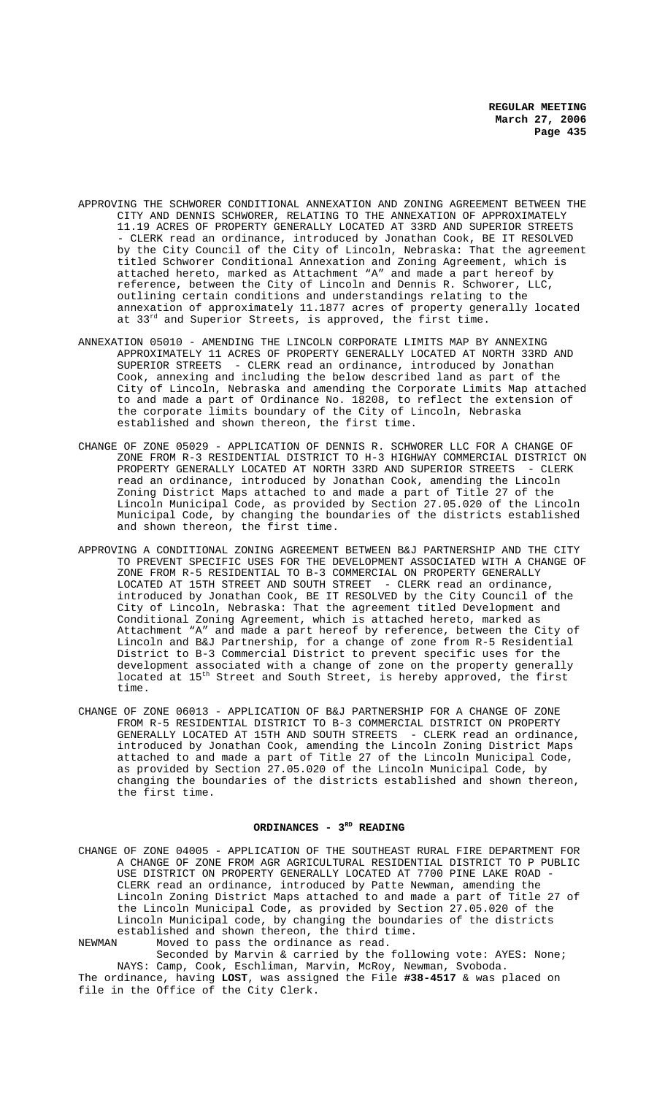- APPROVING THE SCHWORER CONDITIONAL ANNEXATION AND ZONING AGREEMENT BETWEEN THE CITY AND DENNIS SCHWORER, RELATING TO THE ANNEXATION OF APPROXIMATELY 11.19 ACRES OF PROPERTY GENERALLY LOCATED AT 33RD AND SUPERIOR STREETS - CLERK read an ordinance, introduced by Jonathan Cook, BE IT RESOLVED by the City Council of the City of Lincoln, Nebraska: That the agreement titled Schworer Conditional Annexation and Zoning Agreement, which is attached hereto, marked as Attachment "A" and made a part hereof by reference, between the City of Lincoln and Dennis R. Schworer, LLC, outlining certain conditions and understandings relating to the annexation of approximately 11.1877 acres of property generally located at 33<sup>rd</sup> and Superior Streets, is approved, the first time.
- ANNEXATION 05010 AMENDING THE LINCOLN CORPORATE LIMITS MAP BY ANNEXING APPROXIMATELY 11 ACRES OF PROPERTY GENERALLY LOCATED AT NORTH 33RD AND SUPERIOR STREETS - CLERK read an ordinance, introduced by Jonathan Cook, annexing and including the below described land as part of the City of Lincoln, Nebraska and amending the Corporate Limits Map attached to and made a part of Ordinance No. 18208, to reflect the extension of the corporate limits boundary of the City of Lincoln, Nebraska established and shown thereon, the first time.
- CHANGE OF ZONE 05029 APPLICATION OF DENNIS R. SCHWORER LLC FOR A CHANGE OF ZONE FROM R-3 RESIDENTIAL DISTRICT TO H-3 HIGHWAY COMMERCIAL DISTRICT ON PROPERTY GENERALLY LOCATED AT NORTH 33RD AND SUPERIOR STREETS - CLERK read an ordinance, introduced by Jonathan Cook, amending the Lincoln Zoning District Maps attached to and made a part of Title 27 of the Lincoln Municipal Code, as provided by Section 27.05.020 of the Lincoln Municipal Code, by changing the boundaries of the districts established and shown thereon, the first time.
- APPROVING A CONDITIONAL ZONING AGREEMENT BETWEEN B&J PARTNERSHIP AND THE CITY TO PREVENT SPECIFIC USES FOR THE DEVELOPMENT ASSOCIATED WITH A CHANGE OF ZONE FROM R-5 RESIDENTIAL TO B-3 COMMERCIAL ON PROPERTY GENERALLY LOCATED AT 15TH STREET AND SOUTH STREET - CLERK read an ordinance, introduced by Jonathan Cook, BE IT RESOLVED by the City Council of the City of Lincoln, Nebraska: That the agreement titled Development and Conditional Zoning Agreement, which is attached hereto, marked as Attachment "A" and made a part hereof by reference, between the City of Lincoln and B&J Partnership, for a change of zone from R-5 Residential District to B-3 Commercial District to prevent specific uses for the development associated with a change of zone on the property generally located at  $15^{\text{th}}$  Street and South Street, is hereby approved, the first time.
- CHANGE OF ZONE 06013 APPLICATION OF B&J PARTNERSHIP FOR A CHANGE OF ZONE FROM R-5 RESIDENTIAL DISTRICT TO B-3 COMMERCIAL DISTRICT ON PROPERTY GENERALLY LOCATED AT 15TH AND SOUTH STREETS - CLERK read an ordinance, introduced by Jonathan Cook, amending the Lincoln Zoning District Maps attached to and made a part of Title 27 of the Lincoln Municipal Code, as provided by Section 27.05.020 of the Lincoln Municipal Code, by changing the boundaries of the districts established and shown thereon, the first time.

# ORDINANCES - 3<sup>RD</sup> READING

CHANGE OF ZONE 04005 - APPLICATION OF THE SOUTHEAST RURAL FIRE DEPARTMENT FOR A CHANGE OF ZONE FROM AGR AGRICULTURAL RESIDENTIAL DISTRICT TO P PUBLIC USE DISTRICT ON PROPERTY GENERALLY LOCATED AT 7700 PINE LAKE ROAD CLERK read an ordinance, introduced by Patte Newman, amending the Lincoln Zoning District Maps attached to and made a part of Title 27 of the Lincoln Municipal Code, as provided by Section 27.05.020 of the Lincoln Municipal code, by changing the boundaries of the districts established and shown thereon, the third time.<br>NEWMAN Moved to pass the ordinance as read.

NEWMAN Moved to pass the ordinance as read. Seconded by Marvin & carried by the following vote: AYES: None; NAYS: Camp, Cook, Eschliman, Marvin, McRoy, Newman, Svoboda. The ordinance, having **LOST**, was assigned the File **#38-4517** & was placed on file in the Office of the City Clerk.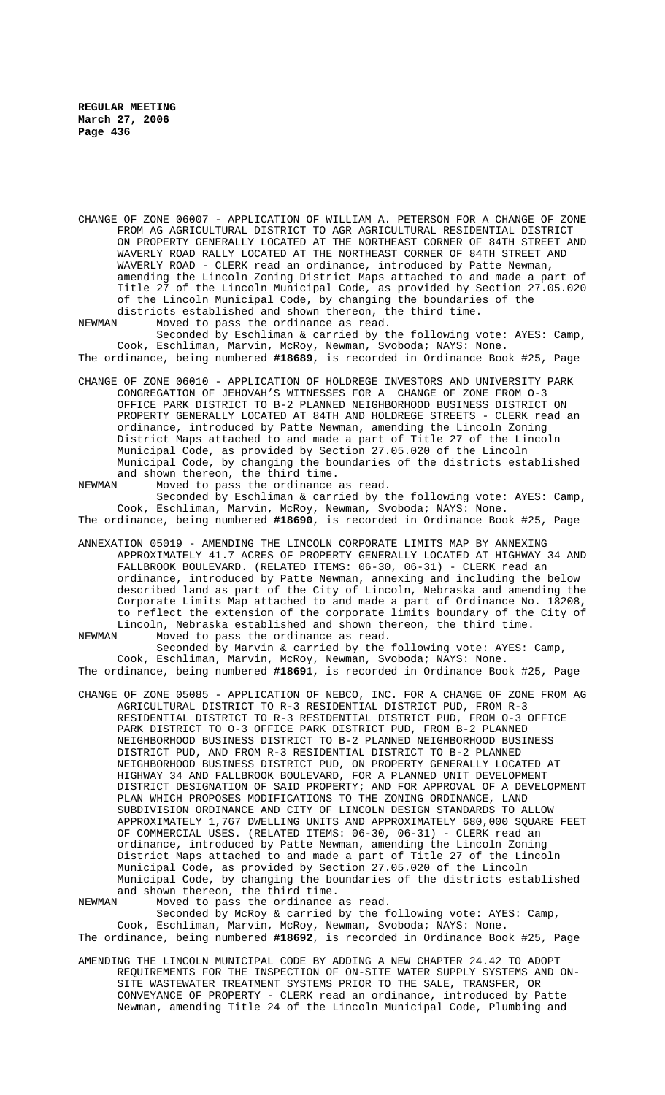CHANGE OF ZONE 06007 - APPLICATION OF WILLIAM A. PETERSON FOR A CHANGE OF ZONE FROM AG AGRICULTURAL DISTRICT TO AGR AGRICULTURAL RESIDENTIAL DISTRICT ON PROPERTY GENERALLY LOCATED AT THE NORTHEAST CORNER OF 84TH STREET AND WAVERLY ROAD RALLY LOCATED AT THE NORTHEAST CORNER OF 84TH STREET AND WAVERLY ROAD - CLERK read an ordinance, introduced by Patte Newman, amending the Lincoln Zoning District Maps attached to and made a part of Title 27 of the Lincoln Municipal Code, as provided by Section 27.05.020 of the Lincoln Municipal Code, by changing the boundaries of the districts established and shown thereon, the third time.

NEWMAN Moved to pass the ordinance as read. Seconded by Eschliman & carried by the following vote: AYES: Camp,

Cook, Eschliman, Marvin, McRoy, Newman, Svoboda; NAYS: None. The ordinance, being numbered **#18689**, is recorded in Ordinance Book #25, Page

CHANGE OF ZONE 06010 - APPLICATION OF HOLDREGE INVESTORS AND UNIVERSITY PARK CONGREGATION OF JEHOVAH'S WITNESSES FOR A CHANGE OF ZONE FROM O-3 OFFICE PARK DISTRICT TO B-2 PLANNED NEIGHBORHOOD BUSINESS DISTRICT ON PROPERTY GENERALLY LOCATED AT 84TH AND HOLDREGE STREETS - CLERK read an ordinance, introduced by Patte Newman, amending the Lincoln Zoning District Maps attached to and made a part of Title 27 of the Lincoln Municipal Code, as provided by Section 27.05.020 of the Lincoln Municipal Code, by changing the boundaries of the districts established and shown thereon, the third time.<br>NEWMAN Moved to pass the ordinance

Moved to pass the ordinance as read. Seconded by Eschliman & carried by the following vote: AYES: Camp, Cook, Eschliman, Marvin, McRoy, Newman, Svoboda; NAYS: None. The ordinance, being numbered **#18690**, is recorded in Ordinance Book #25, Page

ANNEXATION 05019 - AMENDING THE LINCOLN CORPORATE LIMITS MAP BY ANNEXING APPROXIMATELY 41.7 ACRES OF PROPERTY GENERALLY LOCATED AT HIGHWAY 34 AND FALLBROOK BOULEVARD. (RELATED ITEMS: 06-30, 06-31) - CLERK read an ordinance, introduced by Patte Newman, annexing and including the below described land as part of the City of Lincoln, Nebraska and amending the Corporate Limits Map attached to and made a part of Ordinance No. 18208, to reflect the extension of the corporate limits boundary of the City of Lincoln, Nebraska established and shown thereon, the third time.<br>NEWMAN Moved to pass the ordinance as read.

Moved to pass the ordinance as read. Seconded by Marvin & carried by the following vote: AYES: Camp, Cook, Eschliman, Marvin, McRoy, Newman, Svoboda; NAYS: None. The ordinance, being numbered **#18691**, is recorded in Ordinance Book #25, Page

CHANGE OF ZONE 05085 - APPLICATION OF NEBCO, INC. FOR A CHANGE OF ZONE FROM AG AGRICULTURAL DISTRICT TO R-3 RESIDENTIAL DISTRICT PUD, FROM R-3 RESIDENTIAL DISTRICT TO R-3 RESIDENTIAL DISTRICT PUD, FROM O-3 OFFICE PARK DISTRICT TO O-3 OFFICE PARK DISTRICT PUD, FROM B-2 PLANNED NEIGHBORHOOD BUSINESS DISTRICT TO B-2 PLANNED NEIGHBORHOOD BUSINESS DISTRICT PUD, AND FROM R-3 RESIDENTIAL DISTRICT TO B-2 PLANNED NEIGHBORHOOD BUSINESS DISTRICT PUD, ON PROPERTY GENERALLY LOCATED AT HIGHWAY 34 AND FALLBROOK BOULEVARD, FOR A PLANNED UNIT DEVELOPMENT DISTRICT DESIGNATION OF SAID PROPERTY; AND FOR APPROVAL OF A DEVELOPMENT PLAN WHICH PROPOSES MODIFICATIONS TO THE ZONING ORDINANCE, LAND SUBDIVISION ORDINANCE AND CITY OF LINCOLN DESIGN STANDARDS TO ALLOW APPROXIMATELY 1,767 DWELLING UNITS AND APPROXIMATELY 680,000 SQUARE FEET OF COMMERCIAL USES. (RELATED ITEMS: 06-30, 06-31) - CLERK read an ordinance, introduced by Patte Newman, amending the Lincoln Zoning District Maps attached to and made a part of Title 27 of the Lincoln Municipal Code, as provided by Section 27.05.020 of the Lincoln Municipal Code, by changing the boundaries of the districts established and shown thereon, the third time.<br>NEWMAN Moved to pass the ordinance

Moved to pass the ordinance as read. Seconded by McRoy & carried by the following vote: AYES: Camp, Cook, Eschliman, Marvin, McRoy, Newman, Svoboda; NAYS: None. The ordinance, being numbered **#18692**, is recorded in Ordinance Book #25, Page

AMENDING THE LINCOLN MUNICIPAL CODE BY ADDING A NEW CHAPTER 24.42 TO ADOPT REQUIREMENTS FOR THE INSPECTION OF ON-SITE WATER SUPPLY SYSTEMS AND ON-SITE WASTEWATER TREATMENT SYSTEMS PRIOR TO THE SALE, TRANSFER, OR CONVEYANCE OF PROPERTY - CLERK read an ordinance, introduced by Patte Newman, amending Title 24 of the Lincoln Municipal Code, Plumbing and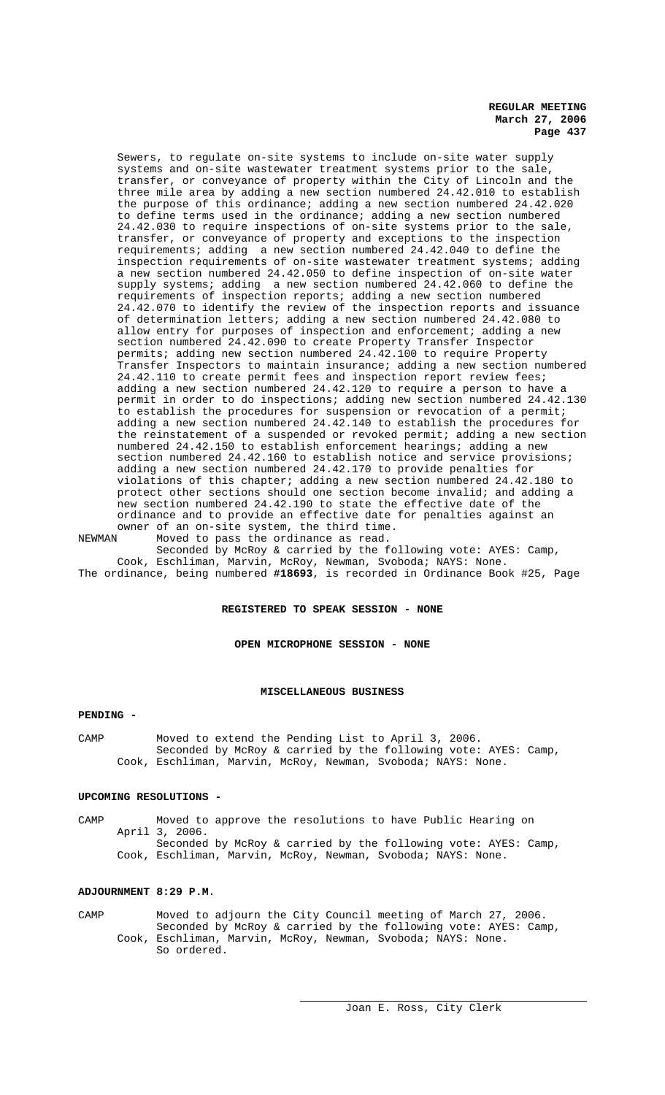Sewers, to regulate on-site systems to include on-site water supply systems and on-site wastewater treatment systems prior to the sale, transfer, or conveyance of property within the City of Lincoln and the three mile area by adding a new section numbered 24.42.010 to establish the purpose of this ordinance; adding a new section numbered 24.42.020 to define terms used in the ordinance; adding a new section numbered 24.42.030 to require inspections of on-site systems prior to the sale, transfer, or conveyance of property and exceptions to the inspection requirements; adding a new section numbered 24.42.040 to define the inspection requirements of on-site wastewater treatment systems; adding a new section numbered 24.42.050 to define inspection of on-site water supply systems; adding a new section numbered 24.42.060 to define the requirements of inspection reports; adding a new section numbered 24.42.070 to identify the review of the inspection reports and issuance of determination letters; adding a new section numbered 24.42.080 to allow entry for purposes of inspection and enforcement; adding a new section numbered 24.42.090 to create Property Transfer Inspector permits; adding new section numbered 24.42.100 to require Property Transfer Inspectors to maintain insurance; adding a new section numbered 24.42.110 to create permit fees and inspection report review fees; adding a new section numbered 24.42.120 to require a person to have a permit in order to do inspections; adding new section numbered 24.42.130 to establish the procedures for suspension or revocation of a permit; adding a new section numbered 24.42.140 to establish the procedures for the reinstatement of a suspended or revoked permit; adding a new section numbered 24.42.150 to establish enforcement hearings; adding a new section numbered 24.42.160 to establish notice and service provisions; adding a new section numbered 24.42.170 to provide penalties for violations of this chapter; adding a new section numbered 24.42.180 to protect other sections should one section become invalid; and adding a new section numbered 24.42.190 to state the effective date of the ordinance and to provide an effective date for penalties against an owner of an on-site system, the third time.

NEWMAN Moved to pass the ordinance as read. Seconded by McRoy & carried by the following vote: AYES: Camp, Cook, Eschliman, Marvin, McRoy, Newman, Svoboda; NAYS: None. The ordinance, being numbered **#18693**, is recorded in Ordinance Book #25, Page

## **REGISTERED TO SPEAK SESSION - NONE**

**OPEN MICROPHONE SESSION - NONE**

#### **MISCELLANEOUS BUSINESS**

#### **PENDING -**

CAMP Moved to extend the Pending List to April 3, 2006. Seconded by McRoy & carried by the following vote: AYES: Camp, Cook, Eschliman, Marvin, McRoy, Newman, Svoboda; NAYS: None.

#### **UPCOMING RESOLUTIONS -**

CAMP Moved to approve the resolutions to have Public Hearing on April 3, 2006. Seconded by McRoy & carried by the following vote: AYES: Camp, Cook, Eschliman, Marvin, McRoy, Newman, Svoboda; NAYS: None.

### **ADJOURNMENT 8:29 P.M.**

CAMP Moved to adjourn the City Council meeting of March 27, 2006. Seconded by McRoy & carried by the following vote: AYES: Camp, Cook, Eschliman, Marvin, McRoy, Newman, Svoboda; NAYS: None. So ordered.